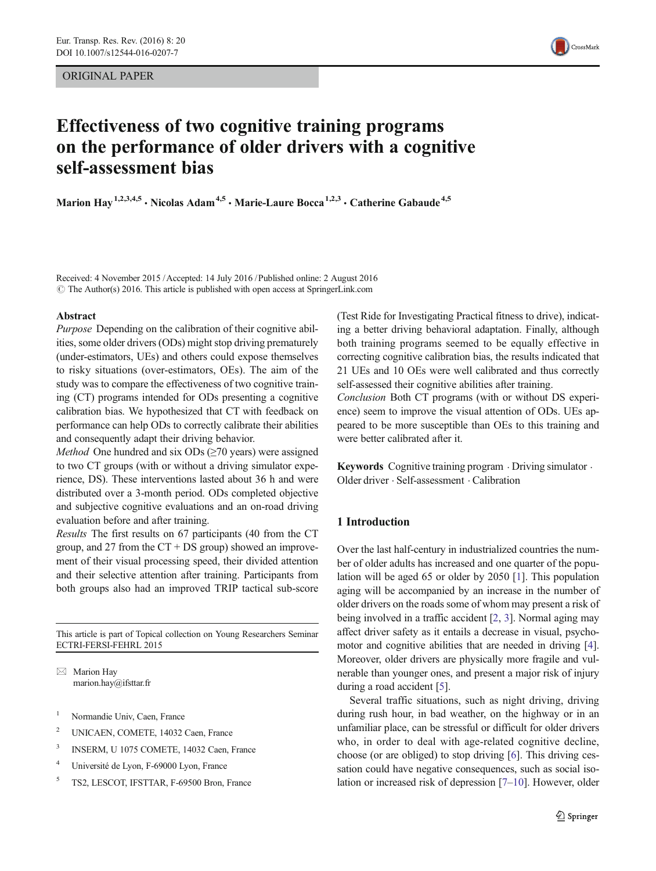ORIGINAL PAPER



# Effectiveness of two cognitive training programs on the performance of older drivers with a cognitive self-assessment bias

Marion Hay<sup>1,2,3,4,5</sup>  $\cdot$  Nicolas Adam<sup>4,5</sup>  $\cdot$  Marie-Laure Bocca<sup>1,2,3</sup>  $\cdot$  Catherine Gabaude<sup>4,5</sup>

Received: 4 November 2015 /Accepted: 14 July 2016 /Published online: 2 August 2016  $\odot$  The Author(s) 2016. This article is published with open access at SpringerLink.com

### Abstract

Purpose Depending on the calibration of their cognitive abilities, some older drivers (ODs) might stop driving prematurely (under-estimators, UEs) and others could expose themselves to risky situations (over-estimators, OEs). The aim of the study was to compare the effectiveness of two cognitive training (CT) programs intended for ODs presenting a cognitive calibration bias. We hypothesized that CT with feedback on performance can help ODs to correctly calibrate their abilities and consequently adapt their driving behavior.

*Method* One hundred and six ODs  $(\geq 70 \text{ years})$  were assigned to two CT groups (with or without a driving simulator experience, DS). These interventions lasted about 36 h and were distributed over a 3-month period. ODs completed objective and subjective cognitive evaluations and an on-road driving evaluation before and after training.

Results The first results on 67 participants (40 from the CT group, and 27 from the  $CT + DS$  group) showed an improvement of their visual processing speed, their divided attention and their selective attention after training. Participants from both groups also had an improved TRIP tactical sub-score

This article is part of Topical collection on Young Researchers Seminar ECTRI-FERSI-FEHRL 2015

 $\boxtimes$  Marion Hay marion.hay@ifsttar.fr

- <sup>1</sup> Normandie Univ, Caen, France
- <sup>2</sup> UNICAEN, COMETE, 14032 Caen, France
- <sup>3</sup> INSERM, U 1075 COMETE, 14032 Caen, France
- <sup>4</sup> Université de Lyon, F-69000 Lyon, France
- <sup>5</sup> TS2, LESCOT, IFSTTAR, F-69500 Bron, France

(Test Ride for Investigating Practical fitness to drive), indicating a better driving behavioral adaptation. Finally, although both training programs seemed to be equally effective in correcting cognitive calibration bias, the results indicated that 21 UEs and 10 OEs were well calibrated and thus correctly self-assessed their cognitive abilities after training. Conclusion Both CT programs (with or without DS experi-

ence) seem to improve the visual attention of ODs. UEs appeared to be more susceptible than OEs to this training and were better calibrated after it.

Keywords Cognitive training program  $\cdot$  Driving simulator  $\cdot$ Older driver . Self-assessment . Calibration

# 1 Introduction

Over the last half-century in industrialized countries the number of older adults has increased and one quarter of the population will be aged 65 or older by 2050 [[1\]](#page-11-0). This population aging will be accompanied by an increase in the number of older drivers on the roads some of whom may present a risk of being involved in a traffic accident [[2,](#page-11-0) [3\]](#page-11-0). Normal aging may affect driver safety as it entails a decrease in visual, psychomotor and cognitive abilities that are needed in driving [[4\]](#page-11-0). Moreover, older drivers are physically more fragile and vulnerable than younger ones, and present a major risk of injury during a road accident [[5\]](#page-11-0).

Several traffic situations, such as night driving, driving during rush hour, in bad weather, on the highway or in an unfamiliar place, can be stressful or difficult for older drivers who, in order to deal with age-related cognitive decline, choose (or are obliged) to stop driving [\[6\]](#page-11-0). This driving cessation could have negative consequences, such as social isolation or increased risk of depression [\[7](#page-11-0)–[10\]](#page-11-0). However, older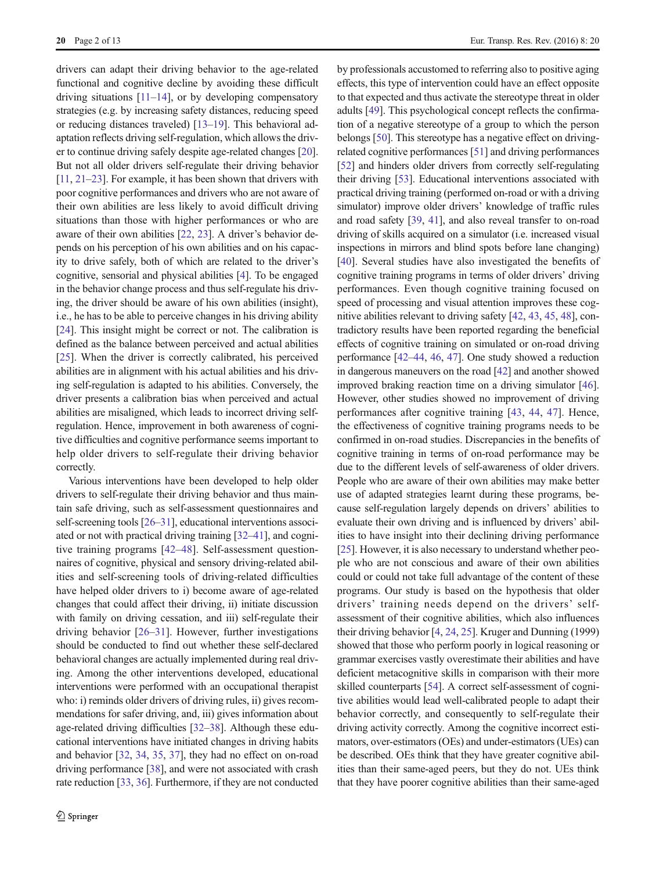drivers can adapt their driving behavior to the age-related functional and cognitive decline by avoiding these difficult driving situations  $[11-14]$  $[11-14]$  $[11-14]$ , or by developing compensatory strategies (e.g. by increasing safety distances, reducing speed or reducing distances traveled) [[13](#page-11-0)–[19](#page-11-0)]. This behavioral adaptation reflects driving self-regulation, which allows the driver to continue driving safely despite age-related changes [[20\]](#page-11-0). But not all older drivers self-regulate their driving behavior [\[11,](#page-11-0) [21](#page-11-0)–[23\]](#page-11-0). For example, it has been shown that drivers with poor cognitive performances and drivers who are not aware of their own abilities are less likely to avoid difficult driving situations than those with higher performances or who are aware of their own abilities [\[22](#page-11-0), [23](#page-11-0)]. A driver's behavior depends on his perception of his own abilities and on his capacity to drive safely, both of which are related to the driver's cognitive, sensorial and physical abilities [[4\]](#page-11-0). To be engaged in the behavior change process and thus self-regulate his driving, the driver should be aware of his own abilities (insight), i.e., he has to be able to perceive changes in his driving ability [\[24\]](#page-11-0). This insight might be correct or not. The calibration is defined as the balance between perceived and actual abilities [\[25](#page-11-0)]. When the driver is correctly calibrated, his perceived abilities are in alignment with his actual abilities and his driving self-regulation is adapted to his abilities. Conversely, the driver presents a calibration bias when perceived and actual abilities are misaligned, which leads to incorrect driving selfregulation. Hence, improvement in both awareness of cognitive difficulties and cognitive performance seems important to help older drivers to self-regulate their driving behavior correctly.

Various interventions have been developed to help older drivers to self-regulate their driving behavior and thus maintain safe driving, such as self-assessment questionnaires and self-screening tools [\[26](#page-11-0)–[31\]](#page-12-0), educational interventions associated or not with practical driving training [\[32](#page-12-0)–[41\]](#page-12-0), and cognitive training programs [[42](#page-12-0)–[48\]](#page-12-0). Self-assessment questionnaires of cognitive, physical and sensory driving-related abilities and self-screening tools of driving-related difficulties have helped older drivers to i) become aware of age-related changes that could affect their driving, ii) initiate discussion with family on driving cessation, and iii) self-regulate their driving behavior [[26](#page-11-0)–[31\]](#page-12-0). However, further investigations should be conducted to find out whether these self-declared behavioral changes are actually implemented during real driving. Among the other interventions developed, educational interventions were performed with an occupational therapist who: i) reminds older drivers of driving rules, ii) gives recommendations for safer driving, and, iii) gives information about age-related driving difficulties [[32](#page-12-0)–[38](#page-12-0)]. Although these educational interventions have initiated changes in driving habits and behavior [\[32,](#page-12-0) [34](#page-12-0), [35](#page-12-0), [37](#page-12-0)], they had no effect on on-road driving performance [[38\]](#page-12-0), and were not associated with crash rate reduction [\[33,](#page-12-0) [36](#page-12-0)]. Furthermore, if they are not conducted by professionals accustomed to referring also to positive aging effects, this type of intervention could have an effect opposite to that expected and thus activate the stereotype threat in older adults [[49\]](#page-12-0). This psychological concept reflects the confirmation of a negative stereotype of a group to which the person belongs [[50](#page-12-0)]. This stereotype has a negative effect on drivingrelated cognitive performances [\[51](#page-12-0)] and driving performances [\[52](#page-12-0)] and hinders older drivers from correctly self-regulating their driving [[53](#page-12-0)]. Educational interventions associated with practical driving training (performed on-road or with a driving simulator) improve older drivers' knowledge of traffic rules and road safety [\[39](#page-12-0), [41\]](#page-12-0), and also reveal transfer to on-road driving of skills acquired on a simulator (i.e. increased visual inspections in mirrors and blind spots before lane changing) [\[40](#page-12-0)]. Several studies have also investigated the benefits of cognitive training programs in terms of older drivers' driving performances. Even though cognitive training focused on speed of processing and visual attention improves these cognitive abilities relevant to driving safety [\[42](#page-12-0), [43,](#page-12-0) [45](#page-12-0), [48](#page-12-0)], contradictory results have been reported regarding the beneficial effects of cognitive training on simulated or on-road driving performance [\[42](#page-12-0)–[44](#page-12-0), [46,](#page-12-0) [47\]](#page-12-0). One study showed a reduction in dangerous maneuvers on the road [\[42](#page-12-0)] and another showed improved braking reaction time on a driving simulator [[46\]](#page-12-0). However, other studies showed no improvement of driving performances after cognitive training [\[43](#page-12-0), [44,](#page-12-0) [47\]](#page-12-0). Hence, the effectiveness of cognitive training programs needs to be confirmed in on-road studies. Discrepancies in the benefits of cognitive training in terms of on-road performance may be due to the different levels of self-awareness of older drivers. People who are aware of their own abilities may make better use of adapted strategies learnt during these programs, because self-regulation largely depends on drivers' abilities to evaluate their own driving and is influenced by drivers' abilities to have insight into their declining driving performance [\[25](#page-11-0)]. However, it is also necessary to understand whether people who are not conscious and aware of their own abilities could or could not take full advantage of the content of these programs. Our study is based on the hypothesis that older drivers' training needs depend on the drivers' selfassessment of their cognitive abilities, which also influences their driving behavior [\[4,](#page-11-0) [24](#page-11-0), [25\]](#page-11-0). Kruger and Dunning (1999) showed that those who perform poorly in logical reasoning or grammar exercises vastly overestimate their abilities and have deficient metacognitive skills in comparison with their more skilled counterparts [\[54](#page-12-0)]. A correct self-assessment of cognitive abilities would lead well-calibrated people to adapt their behavior correctly, and consequently to self-regulate their driving activity correctly. Among the cognitive incorrect estimators, over-estimators (OEs) and under-estimators (UEs) can be described. OEs think that they have greater cognitive abilities than their same-aged peers, but they do not. UEs think that they have poorer cognitive abilities than their same-aged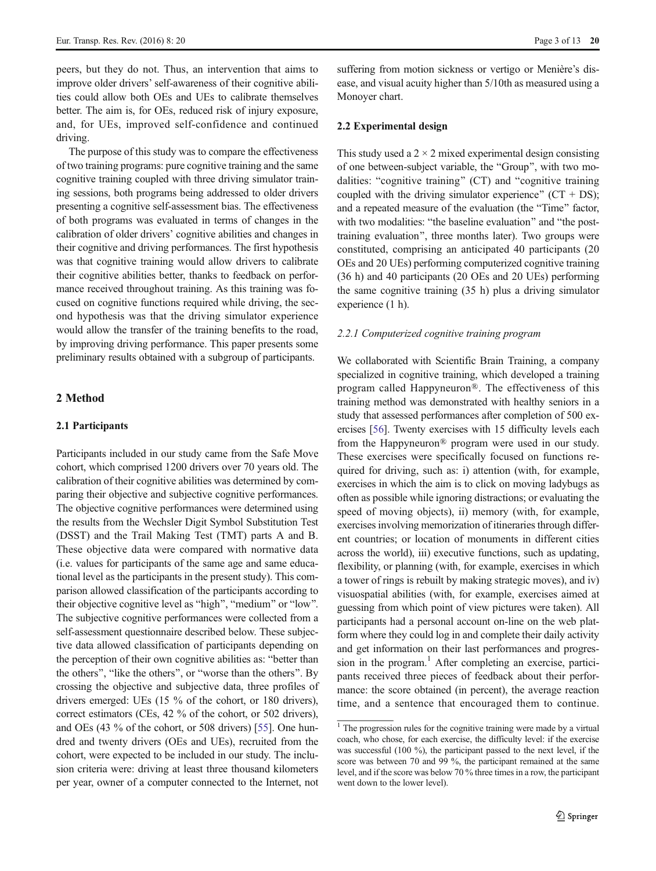peers, but they do not. Thus, an intervention that aims to improve older drivers' self-awareness of their cognitive abilities could allow both OEs and UEs to calibrate themselves better. The aim is, for OEs, reduced risk of injury exposure, and, for UEs, improved self-confidence and continued driving.

The purpose of this study was to compare the effectiveness of two training programs: pure cognitive training and the same cognitive training coupled with three driving simulator training sessions, both programs being addressed to older drivers presenting a cognitive self-assessment bias. The effectiveness of both programs was evaluated in terms of changes in the calibration of older drivers' cognitive abilities and changes in their cognitive and driving performances. The first hypothesis was that cognitive training would allow drivers to calibrate their cognitive abilities better, thanks to feedback on performance received throughout training. As this training was focused on cognitive functions required while driving, the second hypothesis was that the driving simulator experience would allow the transfer of the training benefits to the road, by improving driving performance. This paper presents some preliminary results obtained with a subgroup of participants.

# 2 Method

### 2.1 Participants

Participants included in our study came from the Safe Move cohort, which comprised 1200 drivers over 70 years old. The calibration of their cognitive abilities was determined by comparing their objective and subjective cognitive performances. The objective cognitive performances were determined using the results from the Wechsler Digit Symbol Substitution Test (DSST) and the Trail Making Test (TMT) parts A and B. These objective data were compared with normative data (i.e. values for participants of the same age and same educational level as the participants in the present study). This comparison allowed classification of the participants according to their objective cognitive level as "high", "medium" or "low". The subjective cognitive performances were collected from a self-assessment questionnaire described below. These subjective data allowed classification of participants depending on the perception of their own cognitive abilities as: "better than the others", "like the others", or "worse than the others". By crossing the objective and subjective data, three profiles of drivers emerged: UEs (15 % of the cohort, or 180 drivers), correct estimators (CEs, 42 % of the cohort, or 502 drivers), and OEs (43 % of the cohort, or 508 drivers) [\[55\]](#page-12-0). One hundred and twenty drivers (OEs and UEs), recruited from the cohort, were expected to be included in our study. The inclusion criteria were: driving at least three thousand kilometers per year, owner of a computer connected to the Internet, not

suffering from motion sickness or vertigo or Menière's disease, and visual acuity higher than 5/10th as measured using a Monoyer chart.

### 2.2 Experimental design

This study used a  $2 \times 2$  mixed experimental design consisting of one between-subject variable, the "Group", with two modalities: "cognitive training" (CT) and "cognitive training" coupled with the driving simulator experience"  $(CT + DS)$ ; and a repeated measure of the evaluation (the "Time" factor, with two modalities: "the baseline evaluation" and "the posttraining evaluation", three months later). Two groups were constituted, comprising an anticipated 40 participants (20 OEs and 20 UEs) performing computerized cognitive training (36 h) and 40 participants (20 OEs and 20 UEs) performing the same cognitive training (35 h) plus a driving simulator experience (1 h).

#### 2.2.1 Computerized cognitive training program

We collaborated with Scientific Brain Training, a company specialized in cognitive training, which developed a training program called Happyneuron®. The effectiveness of this training method was demonstrated with healthy seniors in a study that assessed performances after completion of 500 exercises [[56](#page-12-0)]. Twenty exercises with 15 difficulty levels each from the Happyneuron® program were used in our study. These exercises were specifically focused on functions required for driving, such as: i) attention (with, for example, exercises in which the aim is to click on moving ladybugs as often as possible while ignoring distractions; or evaluating the speed of moving objects), ii) memory (with, for example, exercises involving memorization of itineraries through different countries; or location of monuments in different cities across the world), iii) executive functions, such as updating, flexibility, or planning (with, for example, exercises in which a tower of rings is rebuilt by making strategic moves), and iv) visuospatial abilities (with, for example, exercises aimed at guessing from which point of view pictures were taken). All participants had a personal account on-line on the web platform where they could log in and complete their daily activity and get information on their last performances and progression in the program.<sup>1</sup> After completing an exercise, participants received three pieces of feedback about their performance: the score obtained (in percent), the average reaction time, and a sentence that encouraged them to continue.

<sup>&</sup>lt;sup>1</sup> The progression rules for the cognitive training were made by a virtual coach, who chose, for each exercise, the difficulty level: if the exercise was successful (100 %), the participant passed to the next level, if the score was between 70 and 99 %, the participant remained at the same level, and if the score was below 70 % three times in a row, the participant went down to the lower level).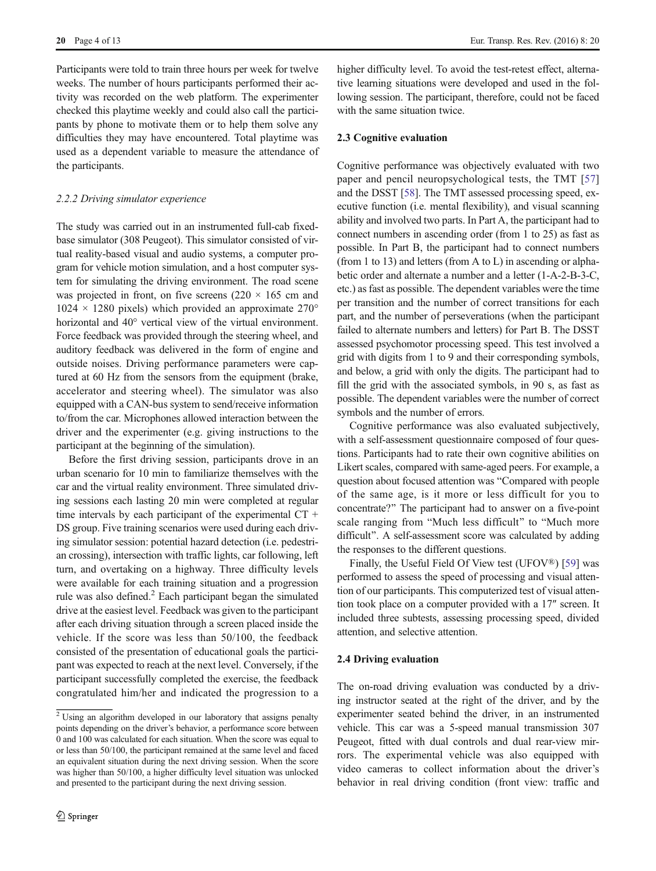Participants were told to train three hours per week for twelve weeks. The number of hours participants performed their activity was recorded on the web platform. The experimenter checked this playtime weekly and could also call the participants by phone to motivate them or to help them solve any difficulties they may have encountered. Total playtime was used as a dependent variable to measure the attendance of the participants.

### 2.2.2 Driving simulator experience

The study was carried out in an instrumented full-cab fixedbase simulator (308 Peugeot). This simulator consisted of virtual reality-based visual and audio systems, a computer program for vehicle motion simulation, and a host computer system for simulating the driving environment. The road scene was projected in front, on five screens  $(220 \times 165$  cm and  $1024 \times 1280$  pixels) which provided an approximate  $270^{\circ}$ horizontal and 40° vertical view of the virtual environment. Force feedback was provided through the steering wheel, and auditory feedback was delivered in the form of engine and outside noises. Driving performance parameters were captured at 60 Hz from the sensors from the equipment (brake, accelerator and steering wheel). The simulator was also equipped with a CAN-bus system to send/receive information to/from the car. Microphones allowed interaction between the driver and the experimenter (e.g. giving instructions to the participant at the beginning of the simulation).

Before the first driving session, participants drove in an urban scenario for 10 min to familiarize themselves with the car and the virtual reality environment. Three simulated driving sessions each lasting 20 min were completed at regular time intervals by each participant of the experimental CT + DS group. Five training scenarios were used during each driving simulator session: potential hazard detection (i.e. pedestrian crossing), intersection with traffic lights, car following, left turn, and overtaking on a highway. Three difficulty levels were available for each training situation and a progression rule was also defined. $<sup>2</sup>$  Each participant began the simulated</sup> drive at the easiest level. Feedback was given to the participant after each driving situation through a screen placed inside the vehicle. If the score was less than 50/100, the feedback consisted of the presentation of educational goals the participant was expected to reach at the next level. Conversely, if the participant successfully completed the exercise, the feedback congratulated him/her and indicated the progression to a higher difficulty level. To avoid the test-retest effect, alternative learning situations were developed and used in the following session. The participant, therefore, could not be faced with the same situation twice.

### 2.3 Cognitive evaluation

Cognitive performance was objectively evaluated with two paper and pencil neuropsychological tests, the TMT [[57](#page-12-0)] and the DSST [\[58\]](#page-12-0). The TMT assessed processing speed, executive function (i.e. mental flexibility), and visual scanning ability and involved two parts. In Part A, the participant had to connect numbers in ascending order (from 1 to 25) as fast as possible. In Part B, the participant had to connect numbers (from 1 to 13) and letters (from A to L) in ascending or alphabetic order and alternate a number and a letter (1-A-2-B-3-C, etc.) as fast as possible. The dependent variables were the time per transition and the number of correct transitions for each part, and the number of perseverations (when the participant failed to alternate numbers and letters) for Part B. The DSST assessed psychomotor processing speed. This test involved a grid with digits from 1 to 9 and their corresponding symbols, and below, a grid with only the digits. The participant had to fill the grid with the associated symbols, in 90 s, as fast as possible. The dependent variables were the number of correct symbols and the number of errors.

Cognitive performance was also evaluated subjectively, with a self-assessment questionnaire composed of four questions. Participants had to rate their own cognitive abilities on Likert scales, compared with same-aged peers. For example, a question about focused attention was "Compared with people of the same age, is it more or less difficult for you to concentrate?^ The participant had to answer on a five-point scale ranging from "Much less difficult" to "Much more difficult". A self-assessment score was calculated by adding the responses to the different questions.

Finally, the Useful Field Of View test (UFOV®) [\[59](#page-12-0)] was performed to assess the speed of processing and visual attention of our participants. This computerized test of visual attention took place on a computer provided with a 17″ screen. It included three subtests, assessing processing speed, divided attention, and selective attention.

### 2.4 Driving evaluation

The on-road driving evaluation was conducted by a driving instructor seated at the right of the driver, and by the experimenter seated behind the driver, in an instrumented vehicle. This car was a 5-speed manual transmission 307 Peugeot, fitted with dual controls and dual rear-view mirrors. The experimental vehicle was also equipped with video cameras to collect information about the driver's behavior in real driving condition (front view: traffic and

<sup>&</sup>lt;sup>2</sup> Using an algorithm developed in our laboratory that assigns penalty points depending on the driver's behavior, a performance score between 0 and 100 was calculated for each situation. When the score was equal to or less than 50/100, the participant remained at the same level and faced an equivalent situation during the next driving session. When the score was higher than 50/100, a higher difficulty level situation was unlocked and presented to the participant during the next driving session.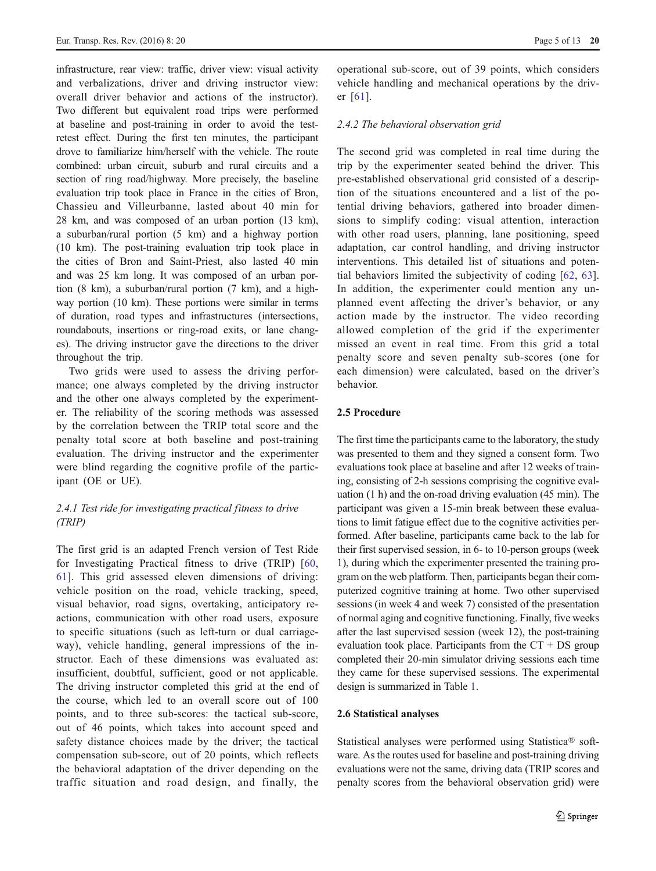infrastructure, rear view: traffic, driver view: visual activity and verbalizations, driver and driving instructor view: overall driver behavior and actions of the instructor). Two different but equivalent road trips were performed at baseline and post-training in order to avoid the testretest effect. During the first ten minutes, the participant drove to familiarize him/herself with the vehicle. The route combined: urban circuit, suburb and rural circuits and a section of ring road/highway. More precisely, the baseline evaluation trip took place in France in the cities of Bron, Chassieu and Villeurbanne, lasted about 40 min for 28 km, and was composed of an urban portion (13 km), a suburban/rural portion (5 km) and a highway portion (10 km). The post-training evaluation trip took place in the cities of Bron and Saint-Priest, also lasted 40 min and was 25 km long. It was composed of an urban portion (8 km), a suburban/rural portion (7 km), and a highway portion (10 km). These portions were similar in terms of duration, road types and infrastructures (intersections, roundabouts, insertions or ring-road exits, or lane changes). The driving instructor gave the directions to the driver throughout the trip.

Two grids were used to assess the driving performance; one always completed by the driving instructor and the other one always completed by the experimenter. The reliability of the scoring methods was assessed by the correlation between the TRIP total score and the penalty total score at both baseline and post-training evaluation. The driving instructor and the experimenter were blind regarding the cognitive profile of the participant (OE or UE).

# 2.4.1 Test ride for investigating practical fitness to drive (TRIP)

The first grid is an adapted French version of Test Ride for Investigating Practical fitness to drive (TRIP) [\[60,](#page-12-0) [61](#page-12-0)]. This grid assessed eleven dimensions of driving: vehicle position on the road, vehicle tracking, speed, visual behavior, road signs, overtaking, anticipatory reactions, communication with other road users, exposure to specific situations (such as left-turn or dual carriageway), vehicle handling, general impressions of the instructor. Each of these dimensions was evaluated as: insufficient, doubtful, sufficient, good or not applicable. The driving instructor completed this grid at the end of the course, which led to an overall score out of 100 points, and to three sub-scores: the tactical sub-score, out of 46 points, which takes into account speed and safety distance choices made by the driver; the tactical compensation sub-score, out of 20 points, which reflects the behavioral adaptation of the driver depending on the traffic situation and road design, and finally, the

operational sub-score, out of 39 points, which considers vehicle handling and mechanical operations by the driver [[61\]](#page-12-0).

# 2.4.2 The behavioral observation grid

The second grid was completed in real time during the trip by the experimenter seated behind the driver. This pre-established observational grid consisted of a description of the situations encountered and a list of the potential driving behaviors, gathered into broader dimensions to simplify coding: visual attention, interaction with other road users, planning, lane positioning, speed adaptation, car control handling, and driving instructor interventions. This detailed list of situations and potential behaviors limited the subjectivity of coding [[62,](#page-12-0) [63](#page-12-0)]. In addition, the experimenter could mention any unplanned event affecting the driver's behavior, or any action made by the instructor. The video recording allowed completion of the grid if the experimenter missed an event in real time. From this grid a total penalty score and seven penalty sub-scores (one for each dimension) were calculated, based on the driver's behavior.

# 2.5 Procedure

The first time the participants came to the laboratory, the study was presented to them and they signed a consent form. Two evaluations took place at baseline and after 12 weeks of training, consisting of 2-h sessions comprising the cognitive evaluation (1 h) and the on-road driving evaluation (45 min). The participant was given a 15-min break between these evaluations to limit fatigue effect due to the cognitive activities performed. After baseline, participants came back to the lab for their first supervised session, in 6- to 10-person groups (week 1), during which the experimenter presented the training program on the web platform. Then, participants began their computerized cognitive training at home. Two other supervised sessions (in week 4 and week 7) consisted of the presentation of normal aging and cognitive functioning. Finally, five weeks after the last supervised session (week 12), the post-training evaluation took place. Participants from the  $CT + DS$  group completed their 20-min simulator driving sessions each time they came for these supervised sessions. The experimental design is summarized in Table [1](#page-5-0).

### 2.6 Statistical analyses

Statistical analyses were performed using Statistica® software. As the routes used for baseline and post-training driving evaluations were not the same, driving data (TRIP scores and penalty scores from the behavioral observation grid) were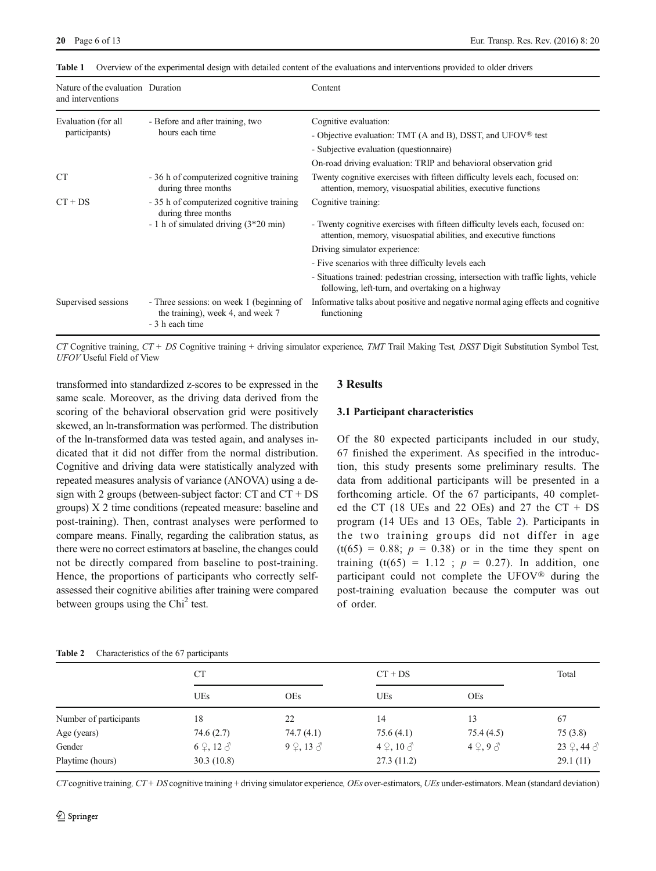| Nature of the evaluation Duration<br>and interventions |                                                                                                   | Content                                                                                                                                             |
|--------------------------------------------------------|---------------------------------------------------------------------------------------------------|-----------------------------------------------------------------------------------------------------------------------------------------------------|
| Evaluation (for all                                    | - Before and after training, two                                                                  | Cognitive evaluation:                                                                                                                               |
| participants)                                          | hours each time                                                                                   | - Objective evaluation: TMT (A and B), DSST, and UFOV <sup>®</sup> test                                                                             |
|                                                        |                                                                                                   | - Subjective evaluation (questionnaire)                                                                                                             |
|                                                        |                                                                                                   | On-road driving evaluation: TRIP and behavioral observation grid                                                                                    |
| <b>CT</b>                                              | - 36 h of computerized cognitive training<br>during three months                                  | Twenty cognitive exercises with fifteen difficulty levels each, focused on:<br>attention, memory, visuospatial abilities, executive functions       |
| $CT + DS$                                              | - 35 h of computerized cognitive training<br>during three months                                  | Cognitive training:                                                                                                                                 |
|                                                        | - 1 h of simulated driving (3*20 min)                                                             | - Twenty cognitive exercises with fifteen difficulty levels each, focused on:<br>attention, memory, visuospatial abilities, and executive functions |
|                                                        |                                                                                                   | Driving simulator experience:                                                                                                                       |
|                                                        |                                                                                                   | - Five scenarios with three difficulty levels each                                                                                                  |
|                                                        |                                                                                                   | - Situations trained: pedestrian crossing, intersection with traffic lights, vehicle<br>following, left-turn, and overtaking on a highway           |
| Supervised sessions                                    | - Three sessions: on week 1 (beginning of<br>the training), week 4, and week 7<br>- 3 h each time | Informative talks about positive and negative normal aging effects and cognitive<br>functioning                                                     |

<span id="page-5-0"></span>Table 1 Overview of the experimental design with detailed content of the evaluations and interventions provided to older drivers

CT Cognitive training,  $CT + DS$  Cognitive training + driving simulator experience, TMT Trail Making Test, DSST Digit Substitution Symbol Test, UFOV Useful Field of View

transformed into standardized z-scores to be expressed in the same scale. Moreover, as the driving data derived from the scoring of the behavioral observation grid were positively skewed, an ln-transformation was performed. The distribution of the ln-transformed data was tested again, and analyses indicated that it did not differ from the normal distribution. Cognitive and driving data were statistically analyzed with repeated measures analysis of variance (ANOVA) using a design with 2 groups (between-subject factor: CT and CT + DS groups) X 2 time conditions (repeated measure: baseline and post-training). Then, contrast analyses were performed to compare means. Finally, regarding the calibration status, as there were no correct estimators at baseline, the changes could not be directly compared from baseline to post-training. Hence, the proportions of participants who correctly selfassessed their cognitive abilities after training were compared between groups using the  $Chi<sup>2</sup>$  test.

# 3 Results

### 3.1 Participant characteristics

Of the 80 expected participants included in our study, 67 finished the experiment. As specified in the introduction, this study presents some preliminary results. The data from additional participants will be presented in a forthcoming article. Of the 67 participants, 40 completed the CT (18 UEs and 22 OEs) and 27 the  $CT + DS$ program (14 UEs and 13 OEs, Table 2). Participants in the two training groups did not differ in age  $(t(65) = 0.88; p = 0.38)$  or in the time they spent on training  $(t(65) = 1.12$ ;  $p = 0.27$ ). In addition, one participant could not complete the UFOV® during the post-training evaluation because the computer was out of order.

|                        | <b>CT</b>                  |                           | $CT + DS$                  |                     | Total                            |
|------------------------|----------------------------|---------------------------|----------------------------|---------------------|----------------------------------|
|                        | UEs                        | <b>OEs</b>                | <b>UEs</b>                 | <b>OEs</b>          |                                  |
| Number of participants | 18                         | 22                        | 14                         | 13                  | 67                               |
| Age (years)            | 74.6(2.7)                  | 74.7(4.1)                 | 75.6(4.1)                  | 75.4(4.5)           | 75(3.8)                          |
| Gender                 | $6\,$ $\odot$ , 12 $\circ$ | $9\degree$ , 13 $\degree$ | $4\sqrt{2}$ , $10\sqrt{3}$ | $4\degree 9\degree$ | 23 $\mathcal{Q}, 44 \mathcal{S}$ |
| Playtime (hours)       | 30.3(10.8)                 |                           | 27.3(11.2)                 |                     | 29.1(11)                         |

Table 2 Characteristics of the 67 participants

CTcognitive training, CT + DS cognitive training + driving simulator experience, OEs over-estimators, UEs under-estimators. Mean (standard deviation)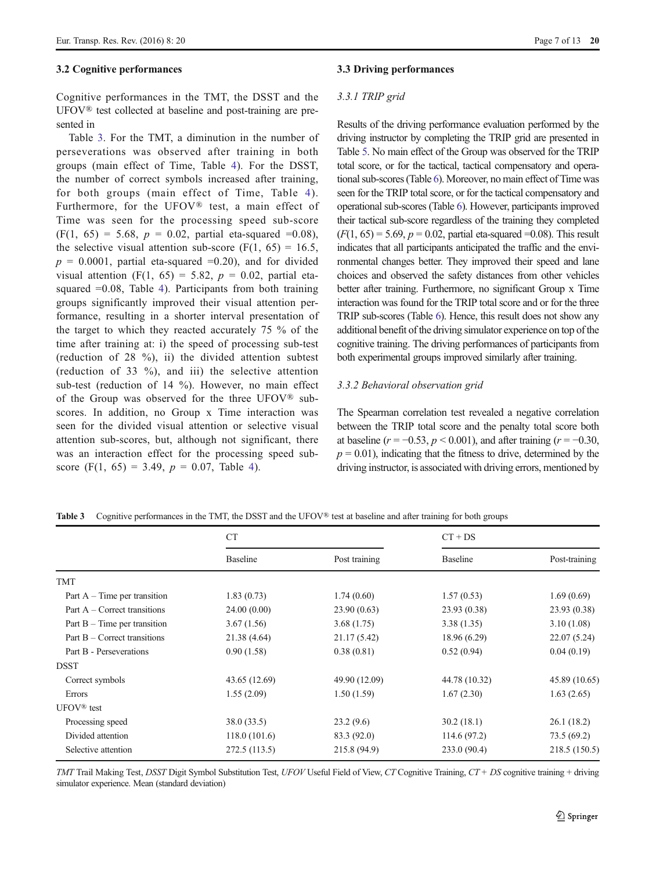### 3.2 Cognitive performances

Cognitive performances in the TMT, the DSST and the UFOV® test collected at baseline and post-training are presented in

Table 3. For the TMT, a diminution in the number of perseverations was observed after training in both groups (main effect of Time, Table [4](#page-7-0)). For the DSST, the number of correct symbols increased after training, for both groups (main effect of Time, Table [4\)](#page-7-0). Furthermore, for the UFOV® test, a main effect of Time was seen for the processing speed sub-score  $(F(1, 65) = 5.68, p = 0.02, partial eta-squared = 0.08),$ the selective visual attention sub-score (F(1, 65) = 16.5,  $p = 0.0001$ , partial eta-squared =0.20), and for divided visual attention  $(F(1, 65) = 5.82, p = 0.02,$  partial etasquared  $=0.08$ , Table [4](#page-7-0)). Participants from both training groups significantly improved their visual attention performance, resulting in a shorter interval presentation of the target to which they reacted accurately 75 % of the time after training at: i) the speed of processing sub-test (reduction of 28 %), ii) the divided attention subtest (reduction of 33 %), and iii) the selective attention sub-test (reduction of 14 %). However, no main effect of the Group was observed for the three UFOV® subscores. In addition, no Group x Time interaction was seen for the divided visual attention or selective visual attention sub-scores, but, although not significant, there was an interaction effect for the processing speed subscore (F(1, 65) = 3.49,  $p = 0.07$ , Table [4\)](#page-7-0).

### 3.3 Driving performances

# 3.3.1 TRIP grid

Results of the driving performance evaluation performed by the driving instructor by completing the TRIP grid are presented in Table [5](#page-7-0). No main effect of the Group was observed for the TRIP total score, or for the tactical, tactical compensatory and operational sub-scores (Table [6](#page-8-0)). Moreover, no main effect of Time was seen for the TRIP total score, or for the tactical compensatory and operational sub-scores (Table [6](#page-8-0)). However, participants improved their tactical sub-score regardless of the training they completed  $(F(1, 65) = 5.69, p = 0.02,$  partial eta-squared =0.08). This result indicates that all participants anticipated the traffic and the environmental changes better. They improved their speed and lane choices and observed the safety distances from other vehicles better after training. Furthermore, no significant Group x Time interaction was found for the TRIP total score and or for the three TRIP sub-scores (Table [6](#page-8-0)). Hence, this result does not show any additional benefit of the driving simulator experience on top of the cognitive training. The driving performances of participants from both experimental groups improved similarly after training.

### 3.3.2 Behavioral observation grid

The Spearman correlation test revealed a negative correlation between the TRIP total score and the penalty total score both at baseline ( $r = -0.53$ ,  $p < 0.001$ ), and after training ( $r = -0.30$ ,  $p = 0.01$ ), indicating that the fitness to drive, determined by the driving instructor, is associated with driving errors, mentioned by

|  |  |  | Table 3 Cognitive performances in the TMT, the DSST and the UFOV <sup>®</sup> test at baseline and after training for both groups |
|--|--|--|-----------------------------------------------------------------------------------------------------------------------------------|
|--|--|--|-----------------------------------------------------------------------------------------------------------------------------------|

|                                | <b>CT</b>       |               | $CT + DS$       |               |
|--------------------------------|-----------------|---------------|-----------------|---------------|
|                                | <b>Baseline</b> | Post training | <b>Baseline</b> | Post-training |
| TMT                            |                 |               |                 |               |
| Part $A$ – Time per transition | 1.83(0.73)      | 1.74(0.60)    | 1.57(0.53)      | 1.69(0.69)    |
| Part $A$ – Correct transitions | 24.00(0.00)     | 23.90(0.63)   | 23.93 (0.38)    | 23.93 (0.38)  |
| Part $B$ – Time per transition | 3.67(1.56)      | 3.68(1.75)    | 3.38(1.35)      | 3.10(1.08)    |
| Part $B$ – Correct transitions | 21.38 (4.64)    | 21.17 (5.42)  | 18.96 (6.29)    | 22.07(5.24)   |
| Part B - Perseverations        | 0.90(1.58)      | 0.38(0.81)    | 0.52(0.94)      | 0.04(0.19)    |
| <b>DSST</b>                    |                 |               |                 |               |
| Correct symbols                | 43.65 (12.69)   | 49.90 (12.09) | 44.78 (10.32)   | 45.89 (10.65) |
| Errors                         | 1.55(2.09)      | 1.50(1.59)    | 1.67(2.30)      | 1.63(2.65)    |
| $UFOV^{\otimes}$ test          |                 |               |                 |               |
| Processing speed               | 38.0 (33.5)     | 23.2(9.6)     | 30.2(18.1)      | 26.1(18.2)    |
| Divided attention              | 118.0(101.6)    | 83.3 (92.0)   | 114.6 (97.2)    | 73.5 (69.2)   |
| Selective attention            | 272.5 (113.5)   | 215.8 (94.9)  | 233.0 (90.4)    | 218.5 (150.5) |

TMT Trail Making Test, DSST Digit Symbol Substitution Test, UFOV Useful Field of View, CT Cognitive Training, CT + DS cognitive training + driving simulator experience. Mean (standard deviation)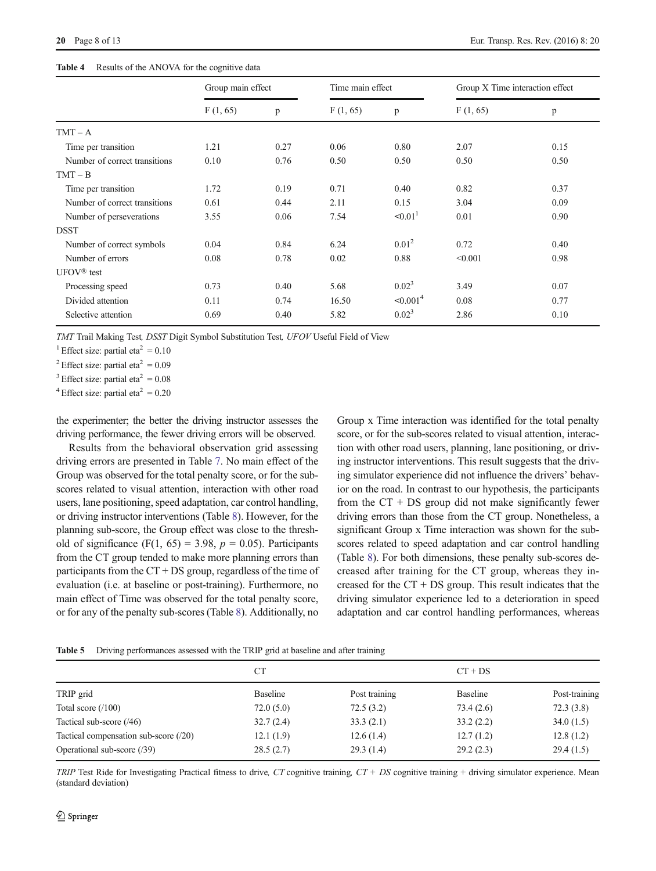### <span id="page-7-0"></span>Table 4 Results of the ANOVA for the cognitive data

|                               | Group main effect |      | Time main effect |                | Group X Time interaction effect |      |
|-------------------------------|-------------------|------|------------------|----------------|---------------------------------|------|
|                               | F(1, 65)          | p    | F(1, 65)         | p              | F(1, 65)                        | p    |
| $TMT - A$                     |                   |      |                  |                |                                 |      |
| Time per transition           | 1.21              | 0.27 | 0.06             | 0.80           | 2.07                            | 0.15 |
| Number of correct transitions | 0.10              | 0.76 | 0.50             | 0.50           | 0.50                            | 0.50 |
| $TMT - B$                     |                   |      |                  |                |                                 |      |
| Time per transition           | 1.72              | 0.19 | 0.71             | 0.40           | 0.82                            | 0.37 |
| Number of correct transitions | 0.61              | 0.44 | 2.11             | 0.15           | 3.04                            | 0.09 |
| Number of perseverations      | 3.55              | 0.06 | 7.54             | $\leq 0.01^1$  | 0.01                            | 0.90 |
| <b>DSST</b>                   |                   |      |                  |                |                                 |      |
| Number of correct symbols     | 0.04              | 0.84 | 6.24             | $0.01^2$       | 0.72                            | 0.40 |
| Number of errors              | 0.08              | 0.78 | 0.02             | 0.88           | < 0.001                         | 0.98 |
| UFOV <sup>®</sup> test        |                   |      |                  |                |                                 |      |
| Processing speed              | 0.73              | 0.40 | 5.68             | $0.02^3$       | 3.49                            | 0.07 |
| Divided attention             | 0.11              | 0.74 | 16.50            | $\leq 0.001^4$ | 0.08                            | 0.77 |
| Selective attention           | 0.69              | 0.40 | 5.82             | $0.02^3$       | 2.86                            | 0.10 |

TMT Trail Making Test, DSST Digit Symbol Substitution Test, UFOV Useful Field of View

<sup>1</sup> Effect size: partial eta<sup>2</sup> =  $0.10$ 

<sup>2</sup> Effect size: partial eta<sup>2</sup> =  $0.09$ 

<sup>3</sup> Effect size: partial eta<sup>2</sup> =  $0.08$ 

<sup>4</sup> Effect size: partial eta<sup>2</sup> =  $0.20$ 

the experimenter; the better the driving instructor assesses the driving performance, the fewer driving errors will be observed.

Results from the behavioral observation grid assessing driving errors are presented in Table [7](#page-8-0). No main effect of the Group was observed for the total penalty score, or for the subscores related to visual attention, interaction with other road users, lane positioning, speed adaptation, car control handling, or driving instructor interventions (Table [8\)](#page-9-0). However, for the planning sub-score, the Group effect was close to the threshold of significance (F(1, 65) = 3.98,  $p = 0.05$ ). Participants from the CT group tended to make more planning errors than participants from the  $CT + DS$  group, regardless of the time of evaluation (i.e. at baseline or post-training). Furthermore, no main effect of Time was observed for the total penalty score, or for any of the penalty sub-scores (Table [8](#page-9-0)). Additionally, no Group x Time interaction was identified for the total penalty score, or for the sub-scores related to visual attention, interaction with other road users, planning, lane positioning, or driving instructor interventions. This result suggests that the driving simulator experience did not influence the drivers' behavior on the road. In contrast to our hypothesis, the participants from the  $CT + DS$  group did not make significantly fewer driving errors than those from the CT group. Nonetheless, a significant Group x Time interaction was shown for the subscores related to speed adaptation and car control handling (Table [8\)](#page-9-0). For both dimensions, these penalty sub-scores decreased after training for the CT group, whereas they increased for the  $CT + DS$  group. This result indicates that the driving simulator experience led to a deterioration in speed adaptation and car control handling performances, whereas

Table 5 Driving performances assessed with the TRIP grid at baseline and after training

|                                        | CT        |               | $CT + DS$ |               |
|----------------------------------------|-----------|---------------|-----------|---------------|
| TRIP grid                              | Baseline  | Post training | Baseline  | Post-training |
| Total score $(100)$                    | 72.0(5.0) | 72.5(3.2)     | 73.4(2.6) | 72.3(3.8)     |
| Tactical sub-score (/46)               | 32.7(2.4) | 33.3(2.1)     | 33.2(2.2) | 34.0(1.5)     |
| Tactical compensation sub-score $(20)$ | 12.1(1.9) | 12.6(1.4)     | 12.7(1.2) | 12.8(1.2)     |
| Operational sub-score (/39)            | 28.5(2.7) | 29.3(1.4)     | 29.2(2.3) | 29.4(1.5)     |

TRIP Test Ride for Investigating Practical fitness to drive,  $CT$  cognitive training,  $CT + DS$  cognitive training + driving simulator experience. Mean (standard deviation)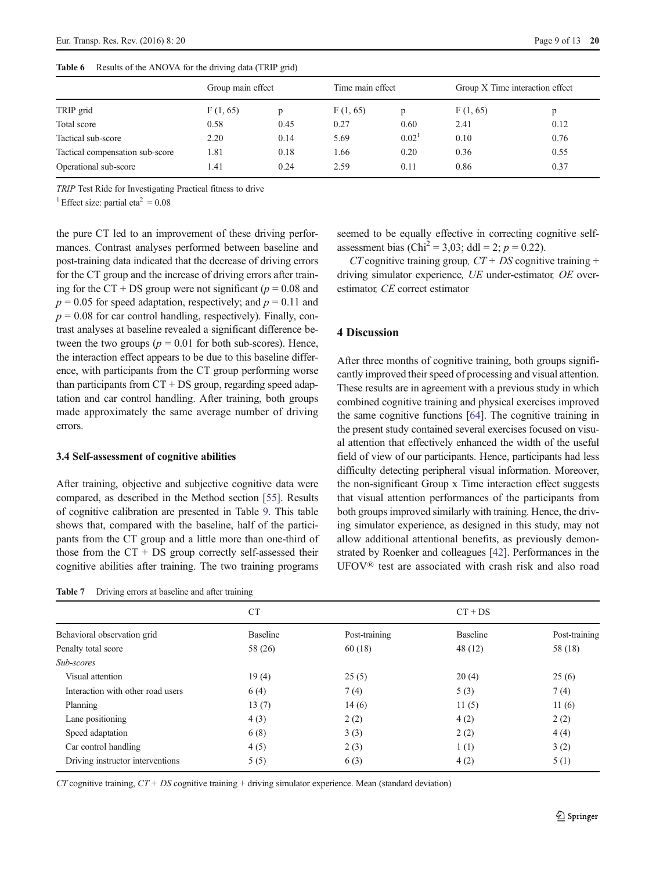### <span id="page-8-0"></span>Table 6 Results of the ANOVA for the driving data (TRIP grid)

|                                 | Group main effect |      | Time main effect |                   | Group X Time interaction effect |      |
|---------------------------------|-------------------|------|------------------|-------------------|---------------------------------|------|
| TRIP grid                       | F(1, 65)          | Ď    | F(1, 65)         | D                 | F(1, 65)                        |      |
| Total score                     | 0.58              | 0.45 | 0.27             | 0.60              | 2.41                            | 0.12 |
| Tactical sub-score              | 2.20              | 0.14 | 5.69             | 0.02 <sup>1</sup> | 0.10                            | 0.76 |
| Tactical compensation sub-score | 1.81              | 0.18 | .66              | 0.20              | 0.36                            | 0.55 |
| Operational sub-score           | 1.41              | 0.24 | 2.59             | 0.11              | 0.86                            | 0.37 |

TRIP Test Ride for Investigating Practical fitness to drive

<sup>1</sup> Effect size: partial eta<sup>2</sup> =  $0.08$ 

the pure CT led to an improvement of these driving performances. Contrast analyses performed between baseline and post-training data indicated that the decrease of driving errors for the CT group and the increase of driving errors after training for the CT + DS group were not significant ( $p = 0.08$  and  $p = 0.05$  for speed adaptation, respectively; and  $p = 0.11$  and  $p = 0.08$  for car control handling, respectively). Finally, contrast analyses at baseline revealed a significant difference between the two groups ( $p = 0.01$  for both sub-scores). Hence, the interaction effect appears to be due to this baseline difference, with participants from the CT group performing worse than participants from  $CT + DS$  group, regarding speed adaptation and car control handling. After training, both groups made approximately the same average number of driving errors.

### 3.4 Self-assessment of cognitive abilities

After training, objective and subjective cognitive data were compared, as described in the Method section [[55](#page-12-0)]. Results of cognitive calibration are presented in Table [9.](#page-9-0) This table shows that, compared with the baseline, half of the participants from the CT group and a little more than one-third of those from the  $CT + DS$  group correctly self-assessed their cognitive abilities after training. The two training programs

Table 7 Driving errors at baseline and after training

seemed to be equally effective in correcting cognitive selfassessment bias (Chi<sup>2</sup> = 3,03; ddl = 2;  $p = 0.22$ ).

 $CT$  cognitive training group,  $CT + DS$  cognitive training + driving simulator experience, UE under-estimator, OE overestimator, CE correct estimator

# 4 Discussion

After three months of cognitive training, both groups significantly improved their speed of processing and visual attention. These results are in agreement with a previous study in which combined cognitive training and physical exercises improved the same cognitive functions [[64](#page-12-0)]. The cognitive training in the present study contained several exercises focused on visual attention that effectively enhanced the width of the useful field of view of our participants. Hence, participants had less difficulty detecting peripheral visual information. Moreover, the non-significant Group x Time interaction effect suggests that visual attention performances of the participants from both groups improved similarly with training. Hence, the driving simulator experience, as designed in this study, may not allow additional attentional benefits, as previously demonstrated by Roenker and colleagues [\[42](#page-12-0)]. Performances in the UFOV® test are associated with crash risk and also road

|                                   | <b>CT</b>       |               | $CT + DS$       |               |
|-----------------------------------|-----------------|---------------|-----------------|---------------|
| Behavioral observation grid       | <b>Baseline</b> | Post-training | <b>Baseline</b> | Post-training |
| Penalty total score               | 58 (26)         | 60(18)        | 48 (12)         | 58 (18)       |
| Sub-scores                        |                 |               |                 |               |
| Visual attention                  | 19(4)           | 25(5)         | 20(4)           | 25(6)         |
| Interaction with other road users | 6(4)            | 7(4)          | 5(3)            | 7(4)          |
| Planning                          | 13(7)           | 14(6)         | 11(5)           | 11(6)         |
| Lane positioning                  | 4(3)            | 2(2)          | 4(2)            | 2(2)          |
| Speed adaptation                  | 6(8)            | 3(3)          | 2(2)            | 4(4)          |
| Car control handling              | 4(5)            | 2(3)          | 1(1)            | 3(2)          |
| Driving instructor interventions  | 5(5)            | 6(3)          | 4(2)            | 5(1)          |

CT cognitive training,  $CT + DS$  cognitive training + driving simulator experience. Mean (standard deviation)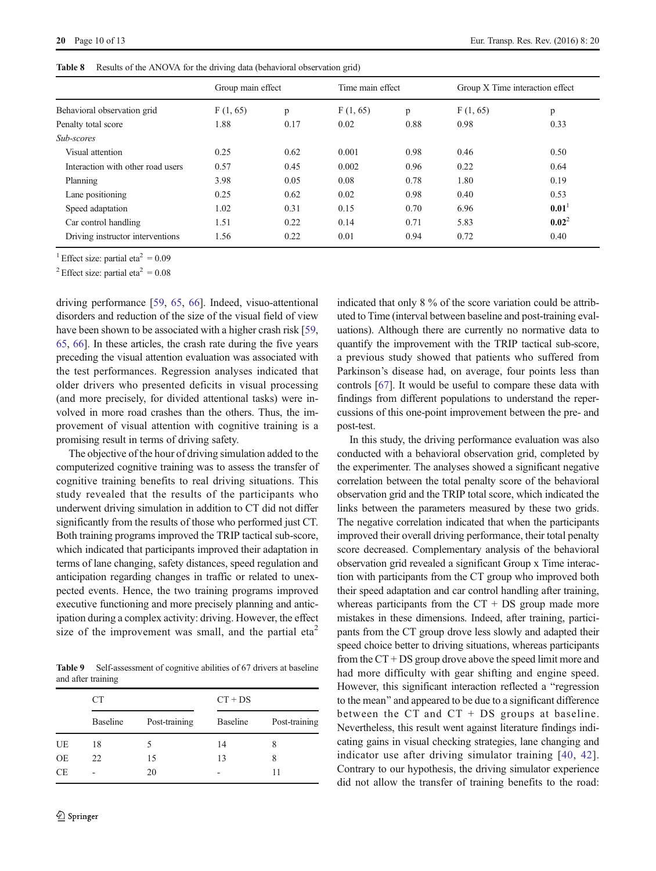<span id="page-9-0"></span>

|  | Table 8 Results of the ANOVA for the driving data (behavioral observation grid) |  |  |  |
|--|---------------------------------------------------------------------------------|--|--|--|
|--|---------------------------------------------------------------------------------|--|--|--|

|                                   | Group main effect |      | Time main effect |      | Group X Time interaction effect |          |
|-----------------------------------|-------------------|------|------------------|------|---------------------------------|----------|
| Behavioral observation grid       | F(1, 65)          | p    | F(1, 65)         | p    | F(1, 65)                        | p        |
| Penalty total score               | 1.88              | 0.17 | 0.02             | 0.88 | 0.98                            | 0.33     |
| Sub-scores                        |                   |      |                  |      |                                 |          |
| Visual attention                  | 0.25              | 0.62 | 0.001            | 0.98 | 0.46                            | 0.50     |
| Interaction with other road users | 0.57              | 0.45 | 0.002            | 0.96 | 0.22                            | 0.64     |
| Planning                          | 3.98              | 0.05 | 0.08             | 0.78 | 1.80                            | 0.19     |
| Lane positioning                  | 0.25              | 0.62 | 0.02             | 0.98 | 0.40                            | 0.53     |
| Speed adaptation                  | 1.02              | 0.31 | 0.15             | 0.70 | 6.96                            | $0.01^1$ |
| Car control handling              | 1.51              | 0.22 | 0.14             | 0.71 | 5.83                            | $0.02^2$ |
| Driving instructor interventions  | 1.56              | 0.22 | 0.01             | 0.94 | 0.72                            | 0.40     |

<sup>1</sup> Effect size: partial eta<sup>2</sup> =  $0.09$ 

<sup>2</sup> Effect size: partial eta<sup>2</sup> =  $0.08$ 

driving performance [\[59](#page-12-0), [65](#page-12-0), [66](#page-12-0)]. Indeed, visuo-attentional disorders and reduction of the size of the visual field of view have been shown to be associated with a higher crash risk [[59,](#page-12-0) [65,](#page-12-0) [66](#page-12-0)]. In these articles, the crash rate during the five years preceding the visual attention evaluation was associated with the test performances. Regression analyses indicated that older drivers who presented deficits in visual processing (and more precisely, for divided attentional tasks) were involved in more road crashes than the others. Thus, the improvement of visual attention with cognitive training is a promising result in terms of driving safety.

The objective of the hour of driving simulation added to the computerized cognitive training was to assess the transfer of cognitive training benefits to real driving situations. This study revealed that the results of the participants who underwent driving simulation in addition to CT did not differ significantly from the results of those who performed just CT. Both training programs improved the TRIP tactical sub-score, which indicated that participants improved their adaptation in terms of lane changing, safety distances, speed regulation and anticipation regarding changes in traffic or related to unexpected events. Hence, the two training programs improved executive functioning and more precisely planning and anticipation during a complex activity: driving. However, the effect size of the improvement was small, and the partial eta<sup>2</sup>

Table 9 Self-assessment of cognitive abilities of 67 drivers at baseline and after training

|           | СT              |               | $CT + DS$ |               |
|-----------|-----------------|---------------|-----------|---------------|
|           | <b>Baseline</b> | Post-training | Baseline  | Post-training |
| UE        | 18              |               | 14        |               |
| <b>OE</b> | 22              | 15            | 13        | 8             |
| <b>CE</b> |                 | 20            |           | 11            |

indicated that only 8 % of the score variation could be attributed to Time (interval between baseline and post-training evaluations). Although there are currently no normative data to quantify the improvement with the TRIP tactical sub-score, a previous study showed that patients who suffered from Parkinson's disease had, on average, four points less than controls [[67](#page-12-0)]. It would be useful to compare these data with findings from different populations to understand the repercussions of this one-point improvement between the pre- and post-test.

In this study, the driving performance evaluation was also conducted with a behavioral observation grid, completed by the experimenter. The analyses showed a significant negative correlation between the total penalty score of the behavioral observation grid and the TRIP total score, which indicated the links between the parameters measured by these two grids. The negative correlation indicated that when the participants improved their overall driving performance, their total penalty score decreased. Complementary analysis of the behavioral observation grid revealed a significant Group x Time interaction with participants from the CT group who improved both their speed adaptation and car control handling after training, whereas participants from the  $CT + DS$  group made more mistakes in these dimensions. Indeed, after training, participants from the CT group drove less slowly and adapted their speed choice better to driving situations, whereas participants from the CT + DS group drove above the speed limit more and had more difficulty with gear shifting and engine speed. However, this significant interaction reflected a "regression" to the mean" and appeared to be due to a significant difference between the CT and  $CT + DS$  groups at baseline. Nevertheless, this result went against literature findings indicating gains in visual checking strategies, lane changing and indicator use after driving simulator training [[40,](#page-12-0) [42](#page-12-0)]. Contrary to our hypothesis, the driving simulator experience did not allow the transfer of training benefits to the road: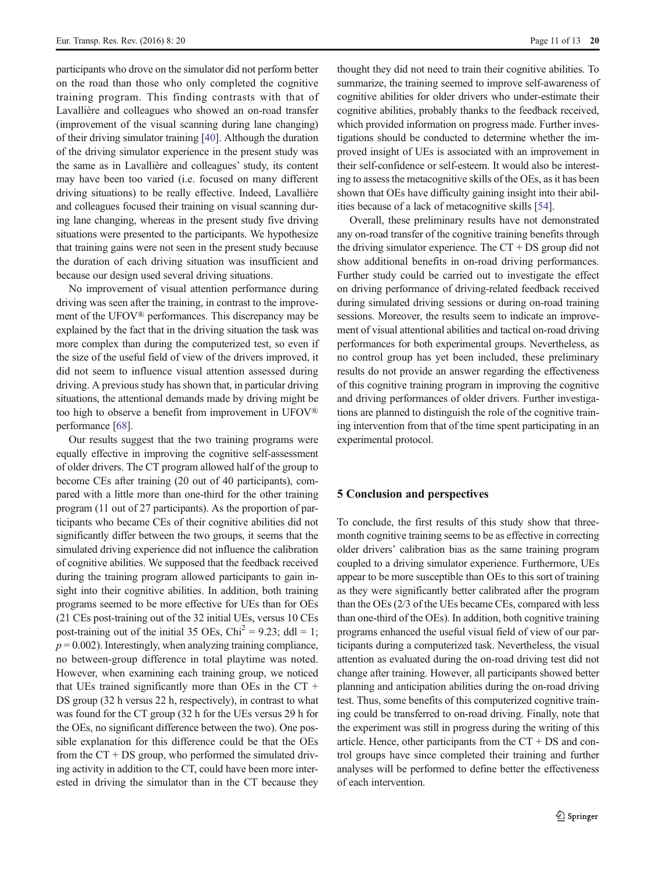participants who drove on the simulator did not perform better on the road than those who only completed the cognitive training program. This finding contrasts with that of Lavallière and colleagues who showed an on-road transfer (improvement of the visual scanning during lane changing) of their driving simulator training [[40\]](#page-12-0). Although the duration of the driving simulator experience in the present study was the same as in Lavallière and colleagues' study, its content may have been too varied (i.e. focused on many different driving situations) to be really effective. Indeed, Lavallière and colleagues focused their training on visual scanning during lane changing, whereas in the present study five driving situations were presented to the participants. We hypothesize that training gains were not seen in the present study because the duration of each driving situation was insufficient and because our design used several driving situations.

No improvement of visual attention performance during driving was seen after the training, in contrast to the improvement of the UFOV® performances. This discrepancy may be explained by the fact that in the driving situation the task was more complex than during the computerized test, so even if the size of the useful field of view of the drivers improved, it did not seem to influence visual attention assessed during driving. A previous study has shown that, in particular driving situations, the attentional demands made by driving might be too high to observe a benefit from improvement in UFOV® performance [[68](#page-12-0)].

Our results suggest that the two training programs were equally effective in improving the cognitive self-assessment of older drivers. The CT program allowed half of the group to become CEs after training (20 out of 40 participants), compared with a little more than one-third for the other training program (11 out of 27 participants). As the proportion of participants who became CEs of their cognitive abilities did not significantly differ between the two groups, it seems that the simulated driving experience did not influence the calibration of cognitive abilities. We supposed that the feedback received during the training program allowed participants to gain insight into their cognitive abilities. In addition, both training programs seemed to be more effective for UEs than for OEs (21 CEs post-training out of the 32 initial UEs, versus 10 CEs post-training out of the initial 35 OEs,  $Chi^2 = 9.23$ ; ddl = 1;  $p = 0.002$ ). Interestingly, when analyzing training compliance, no between-group difference in total playtime was noted. However, when examining each training group, we noticed that UEs trained significantly more than OEs in the  $CT +$ DS group (32 h versus 22 h, respectively), in contrast to what was found for the CT group (32 h for the UEs versus 29 h for the OEs, no significant difference between the two). One possible explanation for this difference could be that the OEs from the  $CT + DS$  group, who performed the simulated driving activity in addition to the CT, could have been more interested in driving the simulator than in the CT because they

thought they did not need to train their cognitive abilities. To summarize, the training seemed to improve self-awareness of cognitive abilities for older drivers who under-estimate their cognitive abilities, probably thanks to the feedback received, which provided information on progress made. Further investigations should be conducted to determine whether the improved insight of UEs is associated with an improvement in their self-confidence or self-esteem. It would also be interesting to assess the metacognitive skills of the OEs, as it has been shown that OEs have difficulty gaining insight into their abilities because of a lack of metacognitive skills [\[54](#page-12-0)].

Overall, these preliminary results have not demonstrated any on-road transfer of the cognitive training benefits through the driving simulator experience. The  $CT + DS$  group did not show additional benefits in on-road driving performances. Further study could be carried out to investigate the effect on driving performance of driving-related feedback received during simulated driving sessions or during on-road training sessions. Moreover, the results seem to indicate an improvement of visual attentional abilities and tactical on-road driving performances for both experimental groups. Nevertheless, as no control group has yet been included, these preliminary results do not provide an answer regarding the effectiveness of this cognitive training program in improving the cognitive and driving performances of older drivers. Further investigations are planned to distinguish the role of the cognitive training intervention from that of the time spent participating in an experimental protocol.

# 5 Conclusion and perspectives

To conclude, the first results of this study show that threemonth cognitive training seems to be as effective in correcting older drivers' calibration bias as the same training program coupled to a driving simulator experience. Furthermore, UEs appear to be more susceptible than OEs to this sort of training as they were significantly better calibrated after the program than the OEs (2/3 of the UEs became CEs, compared with less than one-third of the OEs). In addition, both cognitive training programs enhanced the useful visual field of view of our participants during a computerized task. Nevertheless, the visual attention as evaluated during the on-road driving test did not change after training. However, all participants showed better planning and anticipation abilities during the on-road driving test. Thus, some benefits of this computerized cognitive training could be transferred to on-road driving. Finally, note that the experiment was still in progress during the writing of this article. Hence, other participants from the  $CT + DS$  and control groups have since completed their training and further analyses will be performed to define better the effectiveness of each intervention.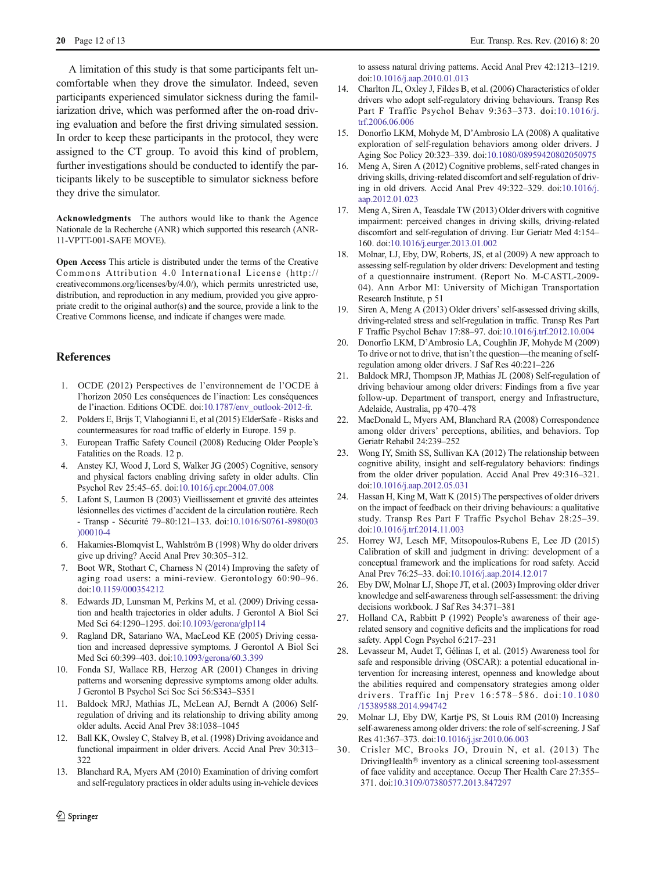<span id="page-11-0"></span>A limitation of this study is that some participants felt uncomfortable when they drove the simulator. Indeed, seven participants experienced simulator sickness during the familiarization drive, which was performed after the on-road driving evaluation and before the first driving simulated session. In order to keep these participants in the protocol, they were assigned to the CT group. To avoid this kind of problem, further investigations should be conducted to identify the participants likely to be susceptible to simulator sickness before they drive the simulator.

Acknowledgments The authors would like to thank the Agence Nationale de la Recherche (ANR) which supported this research (ANR-11-VPTT-001-SAFE MOVE).

Open Access This article is distributed under the terms of the Creative Commons Attribution 4.0 International License (http:// creativecommons.org/licenses/by/4.0/), which permits unrestricted use, distribution, and reproduction in any medium, provided you give appropriate credit to the original author(s) and the source, provide a link to the Creative Commons license, and indicate if changes were made.

### **References**

- 1. OCDE (2012) Perspectives de l'environnement de l'OCDE à l'horizon 2050 Les conséquences de l'inaction: Les conséquences de l'inaction. Editions OCDE. doi[:10.1787/env\\_outlook-2012-fr.](http://dx.doi.org/10.1787/env_outlook-2012-fr)
- 2. Polders E, Brijs T, Vlahogianni E, et al (2015) ElderSafe Risks and countermeasures for road traffic of elderly in Europe. 159 p.
- 3. European Traffic Safety Council (2008) Reducing Older People's Fatalities on the Roads. 12 p.
- 4. Anstey KJ, Wood J, Lord S, Walker JG (2005) Cognitive, sensory and physical factors enabling driving safety in older adults. Clin Psychol Rev 25:45–65. doi[:10.1016/j.cpr.2004.07.008](http://dx.doi.org/10.1016/j.cpr.2004.07.008)
- 5. Lafont S, Laumon B (2003) Vieillissement et gravité des atteintes lésionnelles des victimes d'accident de la circulation routière. Rech - Transp - Sécurité 79–80:121–133. doi[:10.1016/S0761-8980\(03](http://dx.doi.org/10.1016/S0761-8980(03)00010-4) [\)00010-4](http://dx.doi.org/10.1016/S0761-8980(03)00010-4)
- 6. Hakamies-Blomqvist L, Wahlström B (1998) Why do older drivers give up driving? Accid Anal Prev 30:305–312.
- 7. Boot WR, Stothart C, Charness N (2014) Improving the safety of aging road users: a mini-review. Gerontology 60:90–96. doi:[10.1159/000354212](http://dx.doi.org/10.1159/000354212)
- 8. Edwards JD, Lunsman M, Perkins M, et al. (2009) Driving cessation and health trajectories in older adults. J Gerontol A Biol Sci Med Sci 64:1290–1295. doi[:10.1093/gerona/glp114](http://dx.doi.org/10.1093/gerona/glp114)
- Ragland DR, Satariano WA, MacLeod KE (2005) Driving cessation and increased depressive symptoms. J Gerontol A Biol Sci Med Sci 60:399–403. doi:[10.1093/gerona/60.3.399](http://dx.doi.org/10.1093/gerona/60.3.399)
- 10. Fonda SJ, Wallace RB, Herzog AR (2001) Changes in driving patterns and worsening depressive symptoms among older adults. J Gerontol B Psychol Sci Soc Sci 56:S343–S351
- 11. Baldock MRJ, Mathias JL, McLean AJ, Berndt A (2006) Selfregulation of driving and its relationship to driving ability among older adults. Accid Anal Prev 38:1038–1045
- 12. Ball KK, Owsley C, Stalvey B, et al. (1998) Driving avoidance and functional impairment in older drivers. Accid Anal Prev 30:313– 322
- 13. Blanchard RA, Myers AM (2010) Examination of driving comfort and self-regulatory practices in older adults using in-vehicle devices

to assess natural driving patterns. Accid Anal Prev 42:1213–1219. doi[:10.1016/j.aap.2010.01.013](http://dx.doi.org/10.1016/j.aap.2010.01.013)

- 14. Charlton JL, Oxley J, Fildes B, et al. (2006) Characteristics of older drivers who adopt self-regulatory driving behaviours. Transp Res Part F Traffic Psychol Behav 9:363–373. doi:[10.1016/j.](http://dx.doi.org/10.1016/j.trf.2006.06.006) [trf.2006.06.006](http://dx.doi.org/10.1016/j.trf.2006.06.006)
- 15. Donorfio LKM, Mohyde M, D'Ambrosio LA (2008) A qualitative exploration of self-regulation behaviors among older drivers. J Aging Soc Policy 20:323–339. doi[:10.1080/08959420802050975](http://dx.doi.org/10.1080/08959420802050975)
- 16. Meng A, Siren A (2012) Cognitive problems, self-rated changes in driving skills, driving-related discomfort and self-regulation of driving in old drivers. Accid Anal Prev 49:322–329. doi[:10.1016/j.](http://dx.doi.org/10.1016/j.aap.2012.01.023) [aap.2012.01.023](http://dx.doi.org/10.1016/j.aap.2012.01.023)
- 17. Meng A, Siren A, Teasdale TW (2013) Older drivers with cognitive impairment: perceived changes in driving skills, driving-related discomfort and self-regulation of driving. Eur Geriatr Med 4:154– 160. doi:[10.1016/j.eurger.2013.01.002](http://dx.doi.org/10.1016/j.eurger.2013.01.002)
- 18. Molnar, LJ, Eby, DW, Roberts, JS, et al (2009) A new approach to assessing self-regulation by older drivers: Development and testing of a questionnaire instrument. (Report No. M-CASTL-2009- 04). Ann Arbor MI: University of Michigan Transportation Research Institute, p 51
- 19. Siren A, Meng A (2013) Older drivers'self-assessed driving skills, driving-related stress and self-regulation in traffic. Transp Res Part F Traffic Psychol Behav 17:88–97. doi[:10.1016/j.trf.2012.10.004](http://dx.doi.org/10.1016/j.trf.2012.10.004)
- 20. Donorfio LKM, D'Ambrosio LA, Coughlin JF, Mohyde M (2009) To drive or not to drive, that isn't the question—the meaning of selfregulation among older drivers. J Saf Res 40:221–226
- 21. Baldock MRJ, Thompson JP, Mathias JL (2008) Self-regulation of driving behaviour among older drivers: Findings from a five year follow-up. Department of transport, energy and Infrastructure, Adelaide, Australia, pp 470–478
- 22. MacDonald L, Myers AM, Blanchard RA (2008) Correspondence among older drivers' perceptions, abilities, and behaviors. Top Geriatr Rehabil 24:239–252
- 23. Wong IY, Smith SS, Sullivan KA (2012) The relationship between cognitive ability, insight and self-regulatory behaviors: findings from the older driver population. Accid Anal Prev 49:316–321. doi[:10.1016/j.aap.2012.05.031](http://dx.doi.org/10.1016/j.aap.2012.05.031)
- 24. Hassan H, King M, Watt K (2015) The perspectives of older drivers on the impact of feedback on their driving behaviours: a qualitative study. Transp Res Part F Traffic Psychol Behav 28:25–39. doi[:10.1016/j.trf.2014.11.003](http://dx.doi.org/10.1016/j.trf.2014.11.003)
- 25. Horrey WJ, Lesch MF, Mitsopoulos-Rubens E, Lee JD (2015) Calibration of skill and judgment in driving: development of a conceptual framework and the implications for road safety. Accid Anal Prev 76:25–33. doi[:10.1016/j.aap.2014.12.017](http://dx.doi.org/10.1016/j.aap.2014.12.017)
- 26. Eby DW, Molnar LJ, Shope JT, et al. (2003) Improving older driver knowledge and self-awareness through self-assessment: the driving decisions workbook. J Saf Res 34:371–381
- 27. Holland CA, Rabbitt P (1992) People's awareness of their agerelated sensory and cognitive deficits and the implications for road safety. Appl Cogn Psychol 6:217–231
- 28. Levasseur M, Audet T, Gélinas I, et al. (2015) Awareness tool for safe and responsible driving (OSCAR): a potential educational intervention for increasing interest, openness and knowledge about the abilities required and compensatory strategies among older drivers. Traffic Inj Prev 16:578–586. doi:[10.1080](http://dx.doi.org/10.1080/15389588.2014.994742) [/15389588.2014.994742](http://dx.doi.org/10.1080/15389588.2014.994742)
- 29. Molnar LJ, Eby DW, Kartje PS, St Louis RM (2010) Increasing self-awareness among older drivers: the role of self-screening. J Saf Res 41:367–373. doi[:10.1016/j.jsr.2010.06.003](http://dx.doi.org/10.1016/j.jsr.2010.06.003)
- 30. Crisler MC, Brooks JO, Drouin N, et al. (2013) The DrivingHealth® inventory as a clinical screening tool-assessment of face validity and acceptance. Occup Ther Health Care 27:355– 371. doi[:10.3109/07380577.2013.847297](http://dx.doi.org/10.3109/07380577.2013.847297)